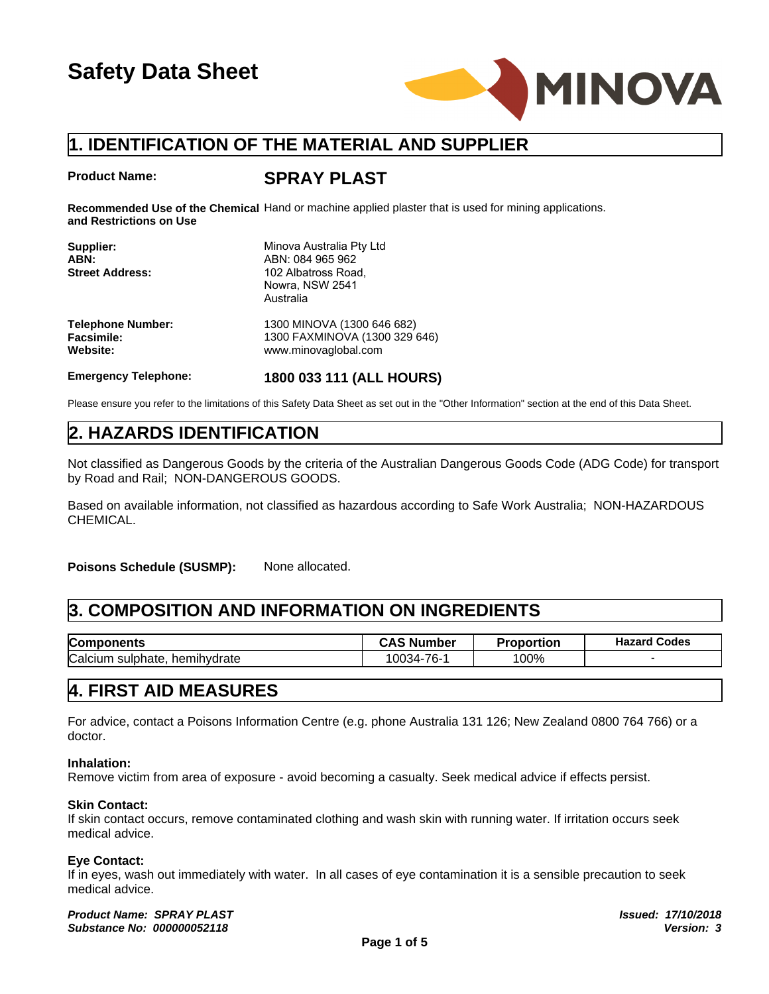

### **Product Name:**

### **SPRAY PLAST**

**Recommended Use of the Chemical** Hand or machine applied plaster that is used for mining applications. **and Restrictions on Use**

| <b>Product Name:</b>                                      | <b>SPRAY PLAST</b>                                                                                                 |
|-----------------------------------------------------------|--------------------------------------------------------------------------------------------------------------------|
| and Restrictions on Use                                   | Recommended Use of the Chemical Hand or machine applied plaster that is used for mining app                        |
| Supplier:<br>ABN:<br><b>Street Address:</b>               | Minova Australia Pty Ltd<br>ABN: 084 965 962<br>102 Albatross Road,<br>Nowra, NSW 2541<br>Australia                |
| <b>Telephone Number:</b><br><b>Facsimile:</b><br>Website: | 1300 MINOVA (1300 646 682)<br>1300 FAXMINOVA (1300 329 646)<br>www.minovaglobal.com                                |
| <b>Emergency Telephone:</b>                               | 1800 033 111 (ALL HOURS)                                                                                           |
|                                                           | Please ensure you refer to the limitations of this Safety Data Sheet as set out in the "Other Information" section |
| 2. HAZARDS IDENTIFICATION                                 |                                                                                                                    |
| by Road and Rail; NON-DANGEROUS GOODS.                    | Not classified as Dangerous Goods by the criteria of the Australian Dangerous Goods Co                             |
|                                                           | Based on available information, not classified as bazardous according to Safe Work Aust                            |

| <b>Facsimile:</b><br><b>Website:</b>   | 1300 FAXMINOVA (1300 329 646)<br>www.minovaglobal.com                                                                                             |                   |                     |
|----------------------------------------|---------------------------------------------------------------------------------------------------------------------------------------------------|-------------------|---------------------|
| <b>Emergency Telephone:</b>            | 1800 033 111 (ALL HOURS)                                                                                                                          |                   |                     |
|                                        | Please ensure you refer to the limitations of this Safety Data Sheet as set out in the "Other Information" section at the end of this Data Sheet. |                   |                     |
| <b>2. HAZARDS IDENTIFICATION</b>       |                                                                                                                                                   |                   |                     |
| by Road and Rail; NON-DANGEROUS GOODS. | Not classified as Dangerous Goods by the criteria of the Australian Dangerous Goods Code (ADG Code) for transport                                 |                   |                     |
| CHEMICAL.                              | Based on available information, not classified as hazardous according to Safe Work Australia; NON-HAZARDOUS                                       |                   |                     |
| <b>Poisons Schedule (SUSMP):</b>       | None allocated.                                                                                                                                   |                   |                     |
|                                        | 3. COMPOSITION AND INFORMATION ON INGREDIENTS                                                                                                     |                   |                     |
| <b>Components</b>                      | <b>CAS Number</b>                                                                                                                                 | <b>Proportion</b> | <b>Hazard Codes</b> |
| Calcium sulphate, hemihydrate          | 10034-76-1                                                                                                                                        | 100%              |                     |
| 4. FIRST AID MEASURES                  |                                                                                                                                                   |                   |                     |
| doctor.                                | For advice, contact a Poisons Information Centre (e.g. phone Australia 131 126; New Zealand 0800 764 766) or a                                    |                   |                     |
| Inhalation,                            |                                                                                                                                                   |                   |                     |

### **Inhalation:**

Remove victim from area of exposure - avoid becoming a casualty. Seek medical advice if effects persist.

### **Skin Contact:**

If skin contact occurs, remove contaminated clothing and wash skin with running water. If irritation occurs seek medical advice.

### **Eye Contact:**

If in eyes, wash out immediately with water. In all cases of eye contamination it is a sensible precaution to seek medical advice.

*Product Name: SPRAY PLAST Issued: 17/10/2018 Substance No: 000000052118*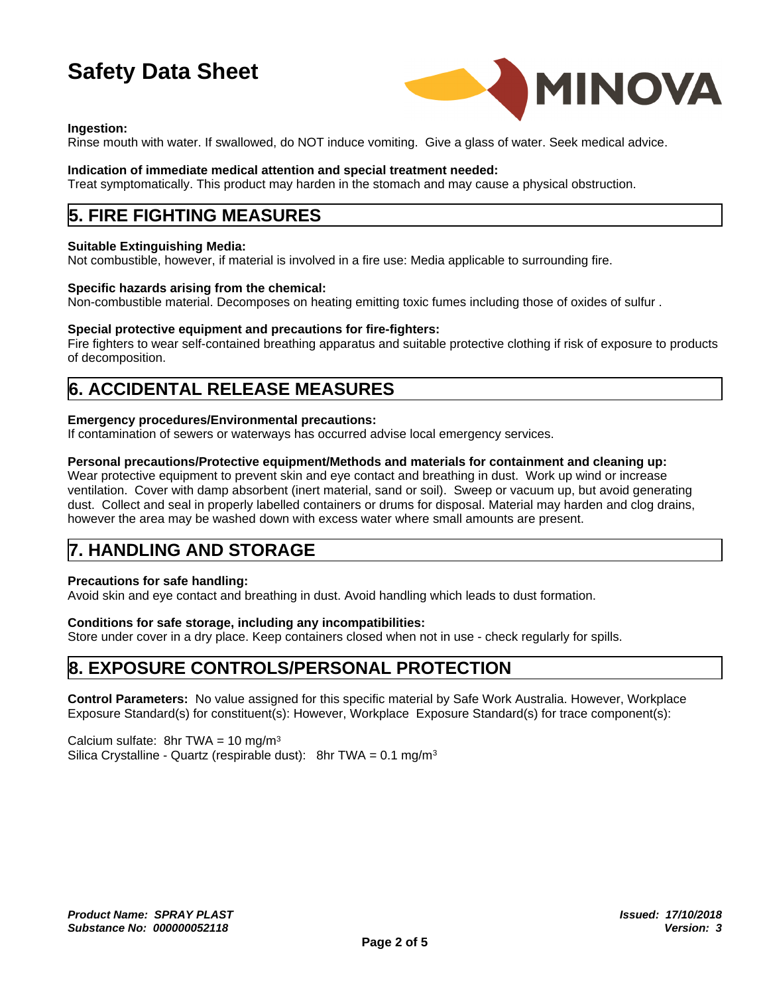

### **Ingestion:**

Rinse mouth with water. If swallowed, do NOT induce vomiting. Give a glass of water. Seek medical advice.

### **Indication of immediate medical attention and special treatment needed:**

Treat symptomatically. This product may harden in the stomach and may cause a physical obstruction.

## **5. FIRE FIGHTING MEASURES**

### **Suitable Extinguishing Media:**

Not combustible, however, if material is involved in a fire use: Media applicable to surrounding fire.

### **Specific hazards arising from the chemical:**

Non-combustible material. Decomposes on heating emitting toxic fumes including those of oxides of sulfur .

### **Special protective equipment and precautions for fire-fighters:**

Fire fighters to wear self-contained breathing apparatus and suitable protective clothing if risk of exposure to products of decomposition.

# **6. ACCIDENTAL RELEASE MEASURES**

### **Emergency procedures/Environmental precautions:**

If contamination of sewers or waterways has occurred advise local emergency services.

### **Personal precautions/Protective equipment/Methods and materials for containment and cleaning up:**

Wear protective equipment to prevent skin and eye contact and breathing in dust. Work up wind or increase ventilation. Cover with damp absorbent (inert material, sand or soil). Sweep or vacuum up, but avoid generating dust. Collect and seal in properly labelled containers or drums for disposal. Material may harden and clog drains, however the area may be washed down with excess water where small amounts are present.

# **7. HANDLING AND STORAGE**

### **Precautions for safe handling:**

Avoid skin and eye contact and breathing in dust. Avoid handling which leads to dust formation.

### **Conditions for safe storage, including any incompatibilities:**

Store under cover in a dry place. Keep containers closed when not in use - check regularly for spills.

# **8. EXPOSURE CONTROLS/PERSONAL PROTECTION**

**Control Parameters:** No value assigned for this specific material by Safe Work Australia. However, Workplace Exposure Standard(s) for constituent(s): However, Workplace Exposure Standard(s) for trace component(s):

Calcium sulfate: 8hr TWA = 10 mg/m<sup>3</sup> Silica Crystalline - Quartz (respirable dust): 8hr TWA =  $0.1 \text{ mg/m}^3$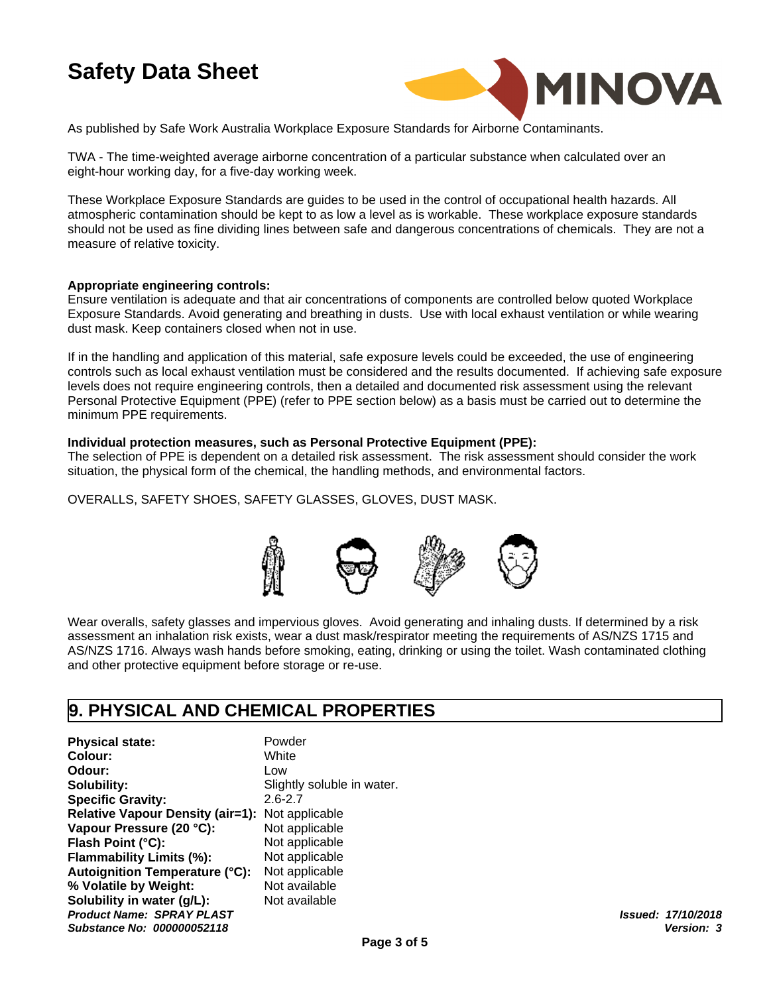

As published by Safe Work Australia Workplace Exposure Standards for Airborne Contaminants.

TWA - The time-weighted average airborne concentration of a particular substance when calculated over an eight-hour working day, for a five-day working week.

These Workplace Exposure Standards are guides to be used in the control of occupational health hazards. All atmospheric contamination should be kept to as low a level as is workable. These workplace exposure standards should not be used as fine dividing lines between safe and dangerous concentrations of chemicals. They are not a measure of relative toxicity.

### **Appropriate engineering controls:**

Ensure ventilation is adequate and that air concentrations of components are controlled below quoted Workplace Exposure Standards. Avoid generating and breathing in dusts. Use with local exhaust ventilation or while wearing dust mask. Keep containers closed when not in use.

If in the handling and application of this material, safe exposure levels could be exceeded, the use of engineering controls such as local exhaust ventilation must be considered and the results documented. If achieving safe exposure levels does not require engineering controls, then a detailed and documented risk assessment using the relevant Personal Protective Equipment (PPE) (refer to PPE section below) as a basis must be carried out to determine the minimum PPE requirements.

### **Individual protection measures, such as Personal Protective Equipment (PPE):**

The selection of PPE is dependent on a detailed risk assessment. The risk assessment should consider the work situation, the physical form of the chemical, the handling methods, and environmental factors.

OVERALLS, SAFETY SHOES, SAFETY GLASSES, GLOVES, DUST MASK.



Wear overalls, safety glasses and impervious gloves. Avoid generating and inhaling dusts. If determined by a risk assessment an inhalation risk exists, wear a dust mask/respirator meeting the requirements of AS/NZS 1715 and AS/NZS 1716. Always wash hands before smoking, eating, drinking or using the toilet. Wash contaminated clothing and other protective equipment before storage or re-use.

## **9. PHYSICAL AND CHEMICAL PROPERTIES**

**Physical state:** Powder **Colour:** White **Odour:** Low **Solubility:** Slightly soluble in water. **Specific Gravity:** 2.6-2.7 **Relative Vapour Density (air=1):** Not applicable **Vapour Pressure (20 °C):** Not applicable **Flash Point (°C):** Not applicable *Product Name: SPRAY PLAST* **Flammability Limits (%):** Not applicable<br>**Autoignition Temperature (°C):** Not applicable *Substance No: 000000052118* **Autoignition Temperature (°C): % Volatile by Weight:** Not available **Solubility in water (q/L):** Not available

Not applicable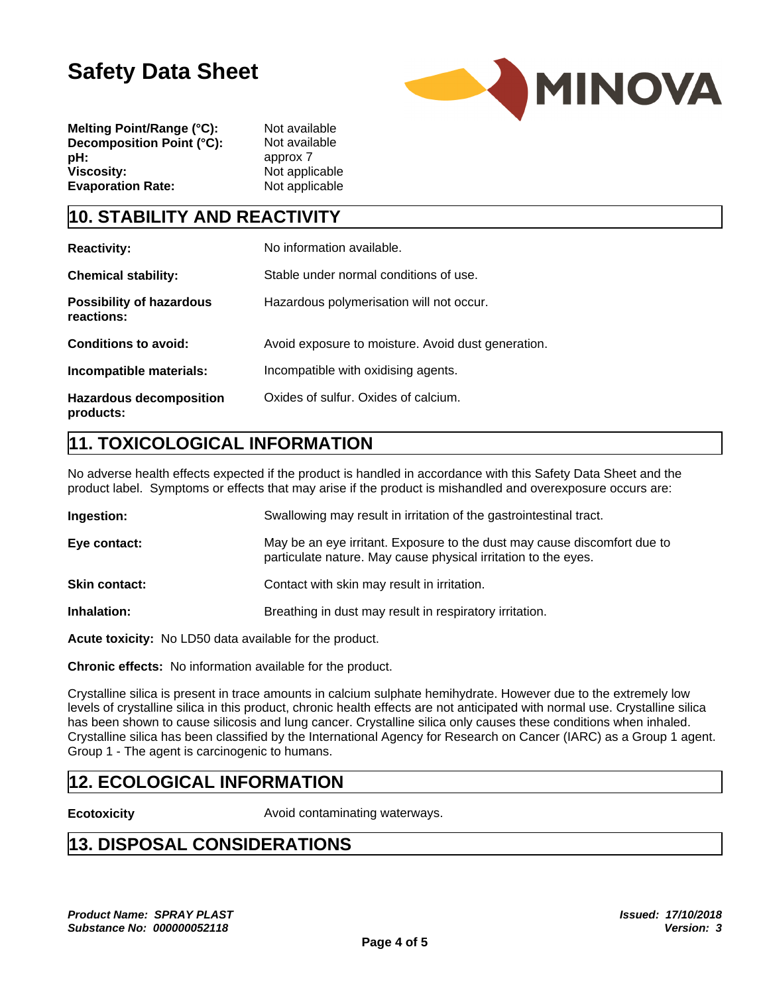

**Melting Point/Range (°C):** Not available **Decomposition Point (°C):** Not available **pH:** approx 7 **Viscosity:** Not applicable **Evaporation Rate:** Not applicable

# **10. STABILITY AND REACTIVITY**

| <b>Reactivity:</b>                            | No information available.                          |
|-----------------------------------------------|----------------------------------------------------|
| <b>Chemical stability:</b>                    | Stable under normal conditions of use.             |
| <b>Possibility of hazardous</b><br>reactions: | Hazardous polymerisation will not occur.           |
| <b>Conditions to avoid:</b>                   | Avoid exposure to moisture. Avoid dust generation. |
| Incompatible materials:                       | Incompatible with oxidising agents.                |
| <b>Hazardous decomposition</b><br>products:   | Oxides of sulfur. Oxides of calcium.               |

# **11. TOXICOLOGICAL INFORMATION**

No adverse health effects expected if the product is handled in accordance with this Safety Data Sheet and the product label. Symptoms or effects that may arise if the product is mishandled and overexposure occurs are:

| Ingestion:           | Swallowing may result in irritation of the gastrointestinal tract.                                                                         |
|----------------------|--------------------------------------------------------------------------------------------------------------------------------------------|
| Eye contact:         | May be an eye irritant. Exposure to the dust may cause discomfort due to<br>particulate nature. May cause physical irritation to the eyes. |
| <b>Skin contact:</b> | Contact with skin may result in irritation.                                                                                                |
| Inhalation:          | Breathing in dust may result in respiratory irritation.                                                                                    |

**Acute toxicity:** No LD50 data available for the product.

**Chronic effects:** No information available for the product.

Crystalline silica is present in trace amounts in calcium sulphate hemihydrate. However due to the extremely low levels of crystalline silica in this product, chronic health effects are not anticipated with normal use. Crystalline silica has been shown to cause silicosis and lung cancer. Crystalline silica only causes these conditions when inhaled. Crystalline silica has been classified by the International Agency for Research on Cancer (IARC) as a Group 1 agent. Group 1 - The agent is carcinogenic to humans.

# **12. ECOLOGICAL INFORMATION**

**Ecotoxicity Ecotoxicity Avoid contaminating waterways.** 

# **13. DISPOSAL CONSIDERATIONS**